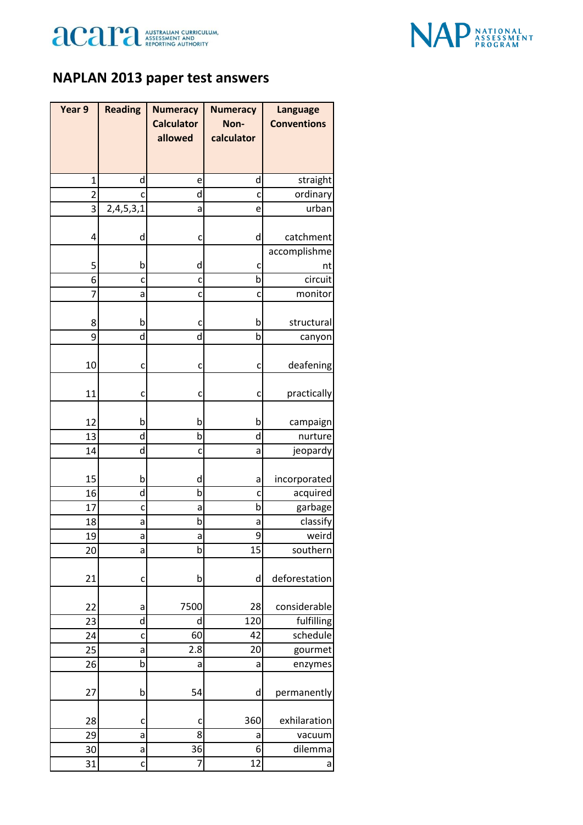



## **NAPLAN 2013 paper test answers**

| Year 9         | <b>Reading</b> | <b>Numeracy</b>   | <b>Numeracy</b> | <b>Language</b>    |
|----------------|----------------|-------------------|-----------------|--------------------|
|                |                | <b>Calculator</b> | Non-            | <b>Conventions</b> |
|                |                | allowed           | calculator      |                    |
|                |                |                   |                 |                    |
| $\mathbf{1}$   | d              | e                 | d               | straight           |
| $\overline{2}$ | c              | d                 | C               | ordinary           |
| 3              | 2,4,5,3,1      | a                 | e               | urban              |
|                |                |                   |                 |                    |
| 4              | d              | c                 | d               | catchment          |
|                |                |                   |                 | accomplishme       |
| 5              | b              | d                 | C               | nt                 |
| 6              | C              | C                 | b               | circuit            |
| $\overline{7}$ | a              | C                 | C               | monitor            |
|                |                |                   |                 |                    |
| 8              | b              | c                 | b               | structural         |
| 9              | d              | d                 | þ               | canyon             |
|                |                |                   |                 |                    |
| 10             | C              | c                 | c               | deafening          |
| 11             | C              | c                 | C               | practically        |
|                |                |                   |                 |                    |
| 12             | b              | b                 | b               | campaign           |
| 13             | d              | $\mathsf b$       | d               | nurture            |
| 14             | d              | C                 | а               | jeopardy           |
|                |                |                   |                 |                    |
| 15             | b              | d                 | а               | incorporated       |
| 16             | d              | b                 | c               | acquired           |
| 17             | C              | a                 | b               | garbage            |
| 18             | а              | b                 | a               | classify           |
| 19             | a              | а                 | 9               | weird              |
| 20             | a              | b                 | 15              | southern           |
|                |                |                   |                 |                    |
| 21             | C              | b                 | d               | deforestation      |
|                |                | 7500              | 28              | considerable       |
| 22<br>23       | а<br>d         | d                 | 120             | fulfilling         |
| 24             |                | 60                | 42              | schedule           |
| 25             | C<br>a         | 2.8               | 20              | gourmet            |
| 26             | þ              | a                 | a               | enzymes            |
|                |                |                   |                 |                    |
| 27             | b              | 54                | d               | permanently        |
|                |                |                   |                 |                    |
| 28             | C              | c                 | 360             | exhilaration       |
| 29             | a              | 8                 | а               | vacuum             |
| 30             | a              | 36                | 6               | dilemma            |
| 31             | C              | 7                 | 12              | a                  |